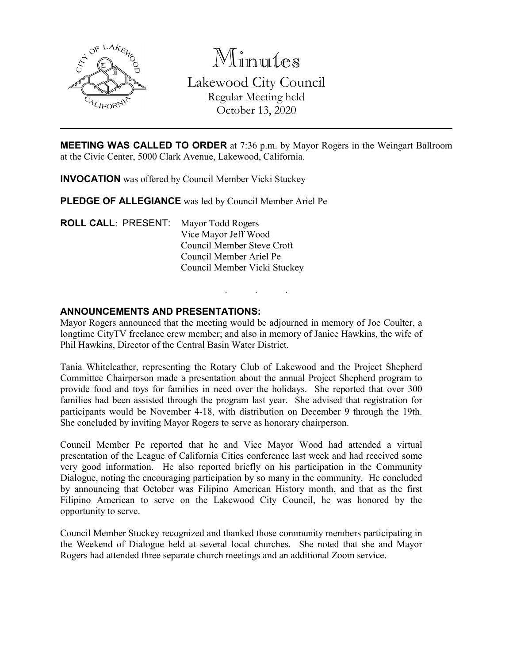

Minutes Lakewood City Council Regular Meeting held October 13, 2020

**MEETING WAS CALLED TO ORDER** at 7:36 p.m. by Mayor Rogers in the Weingart Ballroom at the Civic Center, 5000 Clark Avenue, Lakewood, California.

**INVOCATION** was offered by Council Member Vicki Stuckey

**PLEDGE OF ALLEGIANCE** was led by Council Member Ariel Pe

**ROLL CALL**: PRESENT: Mayor Todd Rogers Vice Mayor Jeff Wood Council Member Steve Croft Council Member Ariel Pe Council Member Vicki Stuckey

#### **ANNOUNCEMENTS AND PRESENTATIONS:**

Mayor Rogers announced that the meeting would be adjourned in memory of Joe Coulter, a longtime CityTV freelance crew member; and also in memory of Janice Hawkins, the wife of Phil Hawkins, Director of the Central Basin Water District.

. . .

Tania Whiteleather, representing the Rotary Club of Lakewood and the Project Shepherd Committee Chairperson made a presentation about the annual Project Shepherd program to provide food and toys for families in need over the holidays. She reported that over 300 families had been assisted through the program last year. She advised that registration for participants would be November 4-18, with distribution on December 9 through the 19th. She concluded by inviting Mayor Rogers to serve as honorary chairperson.

Council Member Pe reported that he and Vice Mayor Wood had attended a virtual presentation of the League of California Cities conference last week and had received some very good information. He also reported briefly on his participation in the Community Dialogue, noting the encouraging participation by so many in the community. He concluded by announcing that October was Filipino American History month, and that as the first Filipino American to serve on the Lakewood City Council, he was honored by the opportunity to serve.

Council Member Stuckey recognized and thanked those community members participating in the Weekend of Dialogue held at several local churches. She noted that she and Mayor Rogers had attended three separate church meetings and an additional Zoom service.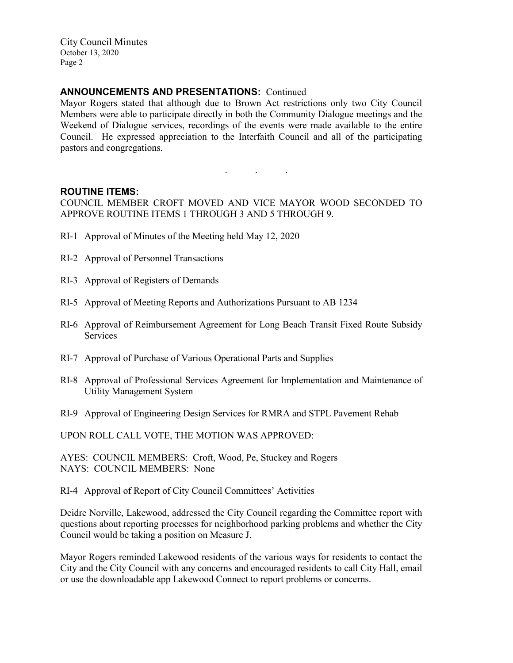### **ANNOUNCEMENTS AND PRESENTATIONS:** Continued

Mayor Rogers stated that although due to Brown Act restrictions only two City Council Members were able to participate directly in both the Community Dialogue meetings and the Weekend of Dialogue services, recordings of the events were made available to the entire Council. He expressed appreciation to the Interfaith Council and all of the participating pastors and congregations.

#### **ROUTINE ITEMS:**

COUNCIL MEMBER CROFT MOVED AND VICE MAYOR WOOD SECONDED TO APPROVE ROUTINE ITEMS 1 THROUGH 3 AND 5 THROUGH 9.

. . .

- RI-1 Approval of Minutes of the Meeting held May 12, 2020
- RI-2 Approval of Personnel Transactions
- RI-3 Approval of Registers of Demands
- RI-5 Approval of Meeting Reports and Authorizations Pursuant to AB 1234
- RI-6 Approval of Reimbursement Agreement for Long Beach Transit Fixed Route Subsidy Services
- RI-7 Approval of Purchase of Various Operational Parts and Supplies
- RI-8 Approval of Professional Services Agreement for Implementation and Maintenance of Utility Management System
- RI-9 Approval of Engineering Design Services for RMRA and STPL Pavement Rehab

UPON ROLL CALL VOTE, THE MOTION WAS APPROVED:

AYES: COUNCIL MEMBERS: Croft, Wood, Pe, Stuckey and Rogers NAYS: COUNCIL MEMBERS: None

RI-4 Approval of Report of City Council Committees' Activities

Deidre Norville, Lakewood, addressed the City Council regarding the Committee report with questions about reporting processes for neighborhood parking problems and whether the City Council would be taking a position on Measure J.

Mayor Rogers reminded Lakewood residents of the various ways for residents to contact the City and the City Council with any concerns and encouraged residents to call City Hall, email or use the downloadable app Lakewood Connect to report problems or concerns.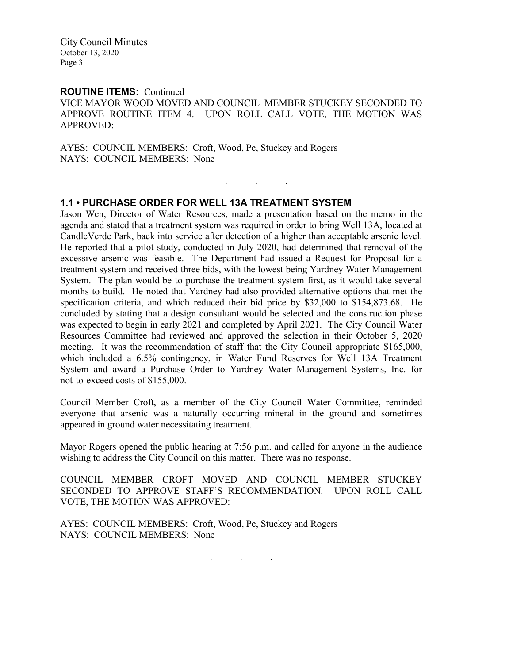#### **ROUTINE ITEMS:** Continued

VICE MAYOR WOOD MOVED AND COUNCIL MEMBER STUCKEY SECONDED TO APPROVE ROUTINE ITEM 4. UPON ROLL CALL VOTE, THE MOTION WAS APPROVED:

. . .

AYES: COUNCIL MEMBERS: Croft, Wood, Pe, Stuckey and Rogers NAYS: COUNCIL MEMBERS: None

#### **1.1 • PURCHASE ORDER FOR WELL 13A TREATMENT SYSTEM**

Jason Wen, Director of Water Resources, made a presentation based on the memo in the agenda and stated that a treatment system was required in order to bring Well 13A, located at CandleVerde Park, back into service after detection of a higher than acceptable arsenic level. He reported that a pilot study, conducted in July 2020, had determined that removal of the excessive arsenic was feasible. The Department had issued a Request for Proposal for a treatment system and received three bids, with the lowest being Yardney Water Management System. The plan would be to purchase the treatment system first, as it would take several months to build. He noted that Yardney had also provided alternative options that met the specification criteria, and which reduced their bid price by \$32,000 to \$154,873.68. He concluded by stating that a design consultant would be selected and the construction phase was expected to begin in early 2021 and completed by April 2021. The City Council Water Resources Committee had reviewed and approved the selection in their October 5, 2020 meeting. It was the recommendation of staff that the City Council appropriate \$165,000, which included a 6.5% contingency, in Water Fund Reserves for Well 13A Treatment System and award a Purchase Order to Yardney Water Management Systems, Inc. for not-to-exceed costs of \$155,000.

Council Member Croft, as a member of the City Council Water Committee, reminded everyone that arsenic was a naturally occurring mineral in the ground and sometimes appeared in ground water necessitating treatment.

Mayor Rogers opened the public hearing at 7:56 p.m. and called for anyone in the audience wishing to address the City Council on this matter. There was no response.

COUNCIL MEMBER CROFT MOVED AND COUNCIL MEMBER STUCKEY SECONDED TO APPROVE STAFF'S RECOMMENDATION. UPON ROLL CALL VOTE, THE MOTION WAS APPROVED:

AYES: COUNCIL MEMBERS: Croft, Wood, Pe, Stuckey and Rogers NAYS: COUNCIL MEMBERS: None

. . .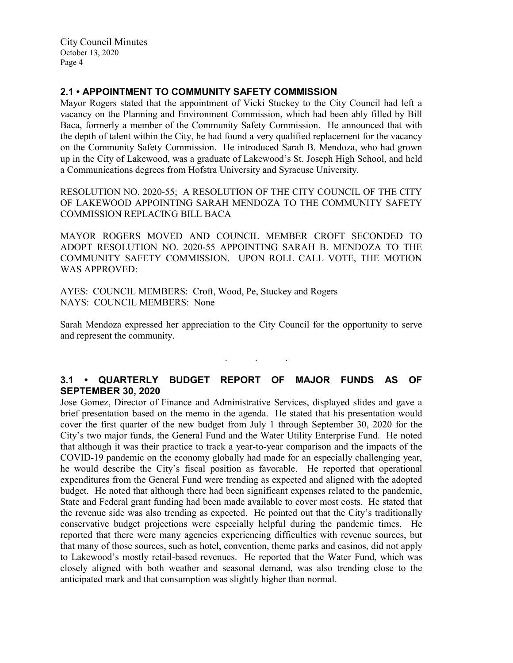# **2.1 • APPOINTMENT TO COMMUNITY SAFETY COMMISSION**

Mayor Rogers stated that the appointment of Vicki Stuckey to the City Council had left a vacancy on the Planning and Environment Commission, which had been ably filled by Bill Baca, formerly a member of the Community Safety Commission. He announced that with the depth of talent within the City, he had found a very qualified replacement for the vacancy on the Community Safety Commission. He introduced Sarah B. Mendoza, who had grown up in the City of Lakewood, was a graduate of Lakewood's St. Joseph High School, and held a Communications degrees from Hofstra University and Syracuse University.

RESOLUTION NO. 2020-55; A RESOLUTION OF THE CITY COUNCIL OF THE CITY OF LAKEWOOD APPOINTING SARAH MENDOZA TO THE COMMUNITY SAFETY COMMISSION REPLACING BILL BACA

MAYOR ROGERS MOVED AND COUNCIL MEMBER CROFT SECONDED TO ADOPT RESOLUTION NO. 2020-55 APPOINTING SARAH B. MENDOZA TO THE COMMUNITY SAFETY COMMISSION. UPON ROLL CALL VOTE, THE MOTION WAS APPROVED:

AYES: COUNCIL MEMBERS: Croft, Wood, Pe, Stuckey and Rogers NAYS: COUNCIL MEMBERS: None

Sarah Mendoza expressed her appreciation to the City Council for the opportunity to serve and represent the community.

. . .

# **3.1 • QUARTERLY BUDGET REPORT OF MAJOR FUNDS AS OF SEPTEMBER 30, 2020**

Jose Gomez, Director of Finance and Administrative Services, displayed slides and gave a brief presentation based on the memo in the agenda. He stated that his presentation would cover the first quarter of the new budget from July 1 through September 30, 2020 for the City's two major funds, the General Fund and the Water Utility Enterprise Fund. He noted that although it was their practice to track a year-to-year comparison and the impacts of the COVID-19 pandemic on the economy globally had made for an especially challenging year, he would describe the City's fiscal position as favorable. He reported that operational expenditures from the General Fund were trending as expected and aligned with the adopted budget. He noted that although there had been significant expenses related to the pandemic, State and Federal grant funding had been made available to cover most costs. He stated that the revenue side was also trending as expected. He pointed out that the City's traditionally conservative budget projections were especially helpful during the pandemic times. He reported that there were many agencies experiencing difficulties with revenue sources, but that many of those sources, such as hotel, convention, theme parks and casinos, did not apply to Lakewood's mostly retail-based revenues. He reported that the Water Fund, which was closely aligned with both weather and seasonal demand, was also trending close to the anticipated mark and that consumption was slightly higher than normal.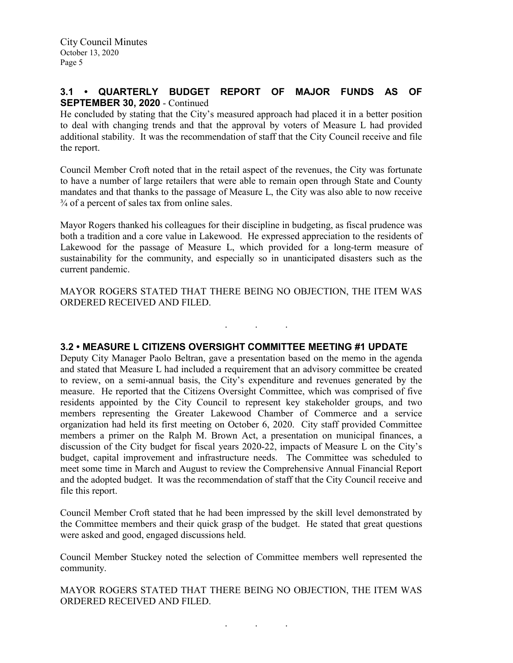# **3.1 • QUARTERLY BUDGET REPORT OF MAJOR FUNDS AS OF SEPTEMBER 30, 2020** - Continued

He concluded by stating that the City's measured approach had placed it in a better position to deal with changing trends and that the approval by voters of Measure L had provided additional stability. It was the recommendation of staff that the City Council receive and file the report.

Council Member Croft noted that in the retail aspect of the revenues, the City was fortunate to have a number of large retailers that were able to remain open through State and County mandates and that thanks to the passage of Measure L, the City was also able to now receive  $\frac{3}{4}$  of a percent of sales tax from online sales.

Mayor Rogers thanked his colleagues for their discipline in budgeting, as fiscal prudence was both a tradition and a core value in Lakewood. He expressed appreciation to the residents of Lakewood for the passage of Measure L, which provided for a long-term measure of sustainability for the community, and especially so in unanticipated disasters such as the current pandemic.

MAYOR ROGERS STATED THAT THERE BEING NO OBJECTION, THE ITEM WAS ORDERED RECEIVED AND FILED.

. . .

# **3.2 • MEASURE L CITIZENS OVERSIGHT COMMITTEE MEETING #1 UPDATE**

Deputy City Manager Paolo Beltran, gave a presentation based on the memo in the agenda and stated that Measure L had included a requirement that an advisory committee be created to review, on a semi-annual basis, the City's expenditure and revenues generated by the measure. He reported that the Citizens Oversight Committee, which was comprised of five residents appointed by the City Council to represent key stakeholder groups, and two members representing the Greater Lakewood Chamber of Commerce and a service organization had held its first meeting on October 6, 2020. City staff provided Committee members a primer on the Ralph M. Brown Act, a presentation on municipal finances, a discussion of the City budget for fiscal years 2020-22, impacts of Measure L on the City's budget, capital improvement and infrastructure needs. The Committee was scheduled to meet some time in March and August to review the Comprehensive Annual Financial Report and the adopted budget. It was the recommendation of staff that the City Council receive and file this report.

Council Member Croft stated that he had been impressed by the skill level demonstrated by the Committee members and their quick grasp of the budget. He stated that great questions were asked and good, engaged discussions held.

Council Member Stuckey noted the selection of Committee members well represented the community.

MAYOR ROGERS STATED THAT THERE BEING NO OBJECTION, THE ITEM WAS ORDERED RECEIVED AND FILED.

. . .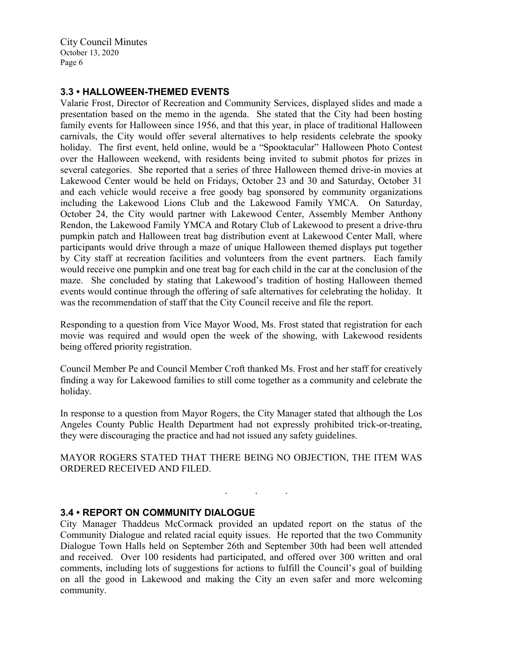### **3.3 • HALLOWEEN-THEMED EVENTS**

Valarie Frost, Director of Recreation and Community Services, displayed slides and made a presentation based on the memo in the agenda. She stated that the City had been hosting family events for Halloween since 1956, and that this year, in place of traditional Halloween carnivals, the City would offer several alternatives to help residents celebrate the spooky holiday. The first event, held online, would be a "Spooktacular" Halloween Photo Contest over the Halloween weekend, with residents being invited to submit photos for prizes in several categories. She reported that a series of three Halloween themed drive-in movies at Lakewood Center would be held on Fridays, October 23 and 30 and Saturday, October 31 and each vehicle would receive a free goody bag sponsored by community organizations including the Lakewood Lions Club and the Lakewood Family YMCA. On Saturday, October 24, the City would partner with Lakewood Center, Assembly Member Anthony Rendon, the Lakewood Family YMCA and Rotary Club of Lakewood to present a drive-thru pumpkin patch and Halloween treat bag distribution event at Lakewood Center Mall, where participants would drive through a maze of unique Halloween themed displays put together by City staff at recreation facilities and volunteers from the event partners. Each family would receive one pumpkin and one treat bag for each child in the car at the conclusion of the maze. She concluded by stating that Lakewood's tradition of hosting Halloween themed events would continue through the offering of safe alternatives for celebrating the holiday. It was the recommendation of staff that the City Council receive and file the report.

Responding to a question from Vice Mayor Wood, Ms. Frost stated that registration for each movie was required and would open the week of the showing, with Lakewood residents being offered priority registration.

Council Member Pe and Council Member Croft thanked Ms. Frost and her staff for creatively finding a way for Lakewood families to still come together as a community and celebrate the holiday.

In response to a question from Mayor Rogers, the City Manager stated that although the Los Angeles County Public Health Department had not expressly prohibited trick-or-treating, they were discouraging the practice and had not issued any safety guidelines.

MAYOR ROGERS STATED THAT THERE BEING NO OBJECTION, THE ITEM WAS ORDERED RECEIVED AND FILED.

. . .

#### **3.4 • REPORT ON COMMUNITY DIALOGUE**

City Manager Thaddeus McCormack provided an updated report on the status of the Community Dialogue and related racial equity issues. He reported that the two Community Dialogue Town Halls held on September 26th and September 30th had been well attended and received. Over 100 residents had participated, and offered over 300 written and oral comments, including lots of suggestions for actions to fulfill the Council's goal of building on all the good in Lakewood and making the City an even safer and more welcoming community.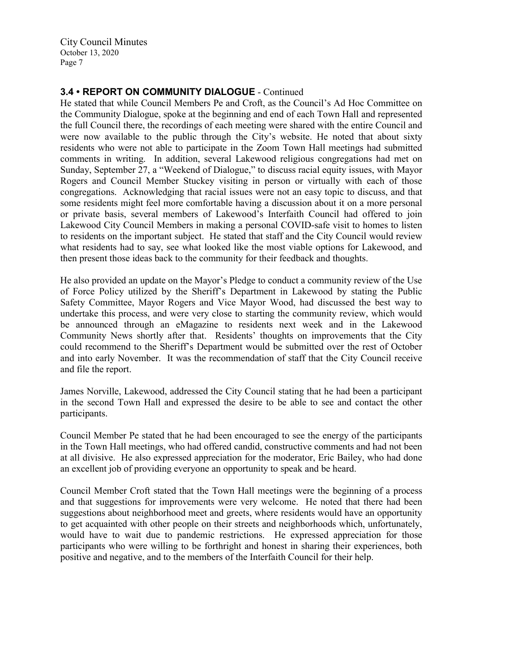# **3.4 • REPORT ON COMMUNITY DIALOGUE** - Continued

He stated that while Council Members Pe and Croft, as the Council's Ad Hoc Committee on the Community Dialogue, spoke at the beginning and end of each Town Hall and represented the full Council there, the recordings of each meeting were shared with the entire Council and were now available to the public through the City's website. He noted that about sixty residents who were not able to participate in the Zoom Town Hall meetings had submitted comments in writing. In addition, several Lakewood religious congregations had met on Sunday, September 27, a "Weekend of Dialogue," to discuss racial equity issues, with Mayor Rogers and Council Member Stuckey visiting in person or virtually with each of those congregations. Acknowledging that racial issues were not an easy topic to discuss, and that some residents might feel more comfortable having a discussion about it on a more personal or private basis, several members of Lakewood's Interfaith Council had offered to join Lakewood City Council Members in making a personal COVID-safe visit to homes to listen to residents on the important subject. He stated that staff and the City Council would review what residents had to say, see what looked like the most viable options for Lakewood, and then present those ideas back to the community for their feedback and thoughts.

He also provided an update on the Mayor's Pledge to conduct a community review of the Use of Force Policy utilized by the Sheriff's Department in Lakewood by stating the Public Safety Committee, Mayor Rogers and Vice Mayor Wood, had discussed the best way to undertake this process, and were very close to starting the community review, which would be announced through an eMagazine to residents next week and in the Lakewood Community News shortly after that. Residents' thoughts on improvements that the City could recommend to the Sheriff's Department would be submitted over the rest of October and into early November. It was the recommendation of staff that the City Council receive and file the report.

James Norville, Lakewood, addressed the City Council stating that he had been a participant in the second Town Hall and expressed the desire to be able to see and contact the other participants.

Council Member Pe stated that he had been encouraged to see the energy of the participants in the Town Hall meetings, who had offered candid, constructive comments and had not been at all divisive. He also expressed appreciation for the moderator, Eric Bailey, who had done an excellent job of providing everyone an opportunity to speak and be heard.

Council Member Croft stated that the Town Hall meetings were the beginning of a process and that suggestions for improvements were very welcome. He noted that there had been suggestions about neighborhood meet and greets, where residents would have an opportunity to get acquainted with other people on their streets and neighborhoods which, unfortunately, would have to wait due to pandemic restrictions. He expressed appreciation for those participants who were willing to be forthright and honest in sharing their experiences, both positive and negative, and to the members of the Interfaith Council for their help.